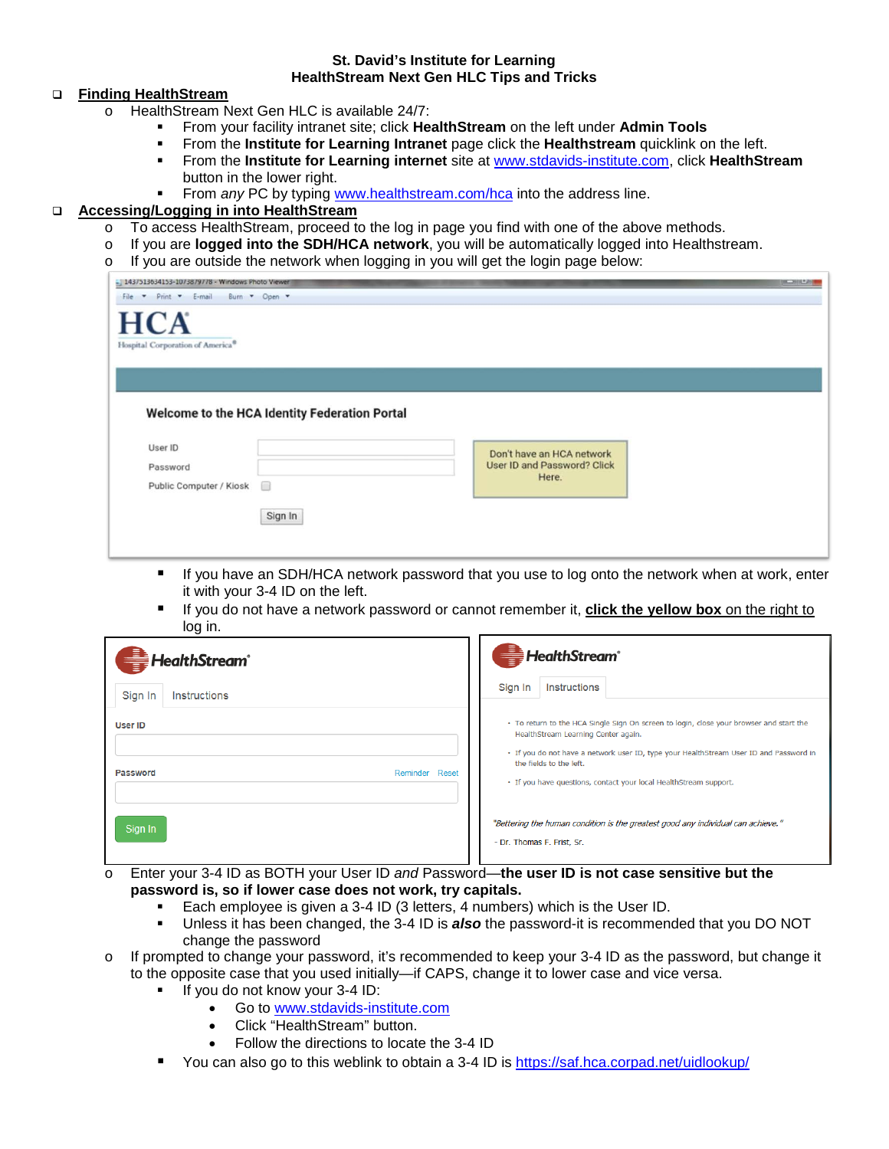#### **St. David's Institute for Learning HealthStream Next Gen HLC Tips and Tricks**

### **Finding HealthStream**

- o HealthStream Next Gen HLC is available 24/7:
	- From your facility intranet site; click **HealthStream** on the left under **Admin Tools**
	- From the **Institute for Learning Intranet** page click the **Healthstream** quicklink on the left.
	- From the **Institute for Learning internet** site at [www.stdavids-institute.com,](http://www.stdavids-institute.com/) click **HealthStream** button in the lower right.
	- **From** *any* **PC** by typing [www.healthstream.com/hca](http://www.healthstream.com/hca) into the address line.

## **Accessing/Logging in into HealthStream**

- 
- o To access HealthStream, proceed to the log in page you find with one of the above methods.<br>
o If you are logged into the SDH/HCA network, you will be automatically logged into Healthstr o If you are **logged into the SDH/HCA network**, you will be automatically logged into Healthstream.
- $\circ$  If you are outside the network when logging in you will get the login page below:

| File * Print * E-mail Burn * Open *          |                                               |                                      |  |
|----------------------------------------------|-----------------------------------------------|--------------------------------------|--|
| <b>HCA</b>                                   |                                               |                                      |  |
| Hospital Corporation of America <sup>®</sup> |                                               |                                      |  |
|                                              |                                               |                                      |  |
|                                              |                                               |                                      |  |
|                                              |                                               |                                      |  |
|                                              |                                               |                                      |  |
|                                              | Welcome to the HCA Identity Federation Portal |                                      |  |
|                                              |                                               |                                      |  |
| User ID                                      |                                               | Don't have an HCA network            |  |
| Password                                     |                                               | User ID and Password? Click<br>Here. |  |
| Public Computer / Kiosk                      |                                               |                                      |  |
|                                              | Sign In                                       |                                      |  |

- If you have an SDH/HCA network password that you use to log onto the network when at work, enter it with your 3-4 ID on the left.
- If you do not have a network password or cannot remember it, **click the yellow box** on the right to log in.

| <b>HealthStream</b> ®                        | HealthStream <sup>®</sup>                                                                                                                                                                                                                                                                                                |
|----------------------------------------------|--------------------------------------------------------------------------------------------------------------------------------------------------------------------------------------------------------------------------------------------------------------------------------------------------------------------------|
| Sign In<br>Instructions                      | Sign In<br>Instructions                                                                                                                                                                                                                                                                                                  |
| <b>User ID</b><br>Password<br>Reminder Reset | • To return to the HCA Single Sign On screen to login, close your browser and start the<br>HealthStream Learning Center again.<br>. If you do not have a network user ID, type your HealthStream User ID and Password in<br>the fields to the left.<br>• If you have questions, contact your local HealthStream support. |
| Sign In                                      | "Bettering the human condition is the greatest good any individual can achieve."<br>- Dr. Thomas F. Frist, Sr.<br>.                                                                                                                                                                                                      |

- o Enter your 3-4 ID as BOTH your User ID *and* Password—**the user ID is not case sensitive but the password is, so if lower case does not work, try capitals.**
	- Each employee is given a 3-4 ID (3 letters, 4 numbers) which is the User ID.
	- Unless it has been changed, the 3-4 ID is *also* the password-it is recommended that you DO NOT change the password
- o If prompted to change your password, it's recommended to keep your 3-4 ID as the password, but change it to the opposite case that you used initially—if CAPS, change it to lower case and vice versa.
	- If you do not know your 3-4 ID:
		- Go to [www.stdavids-institute.com](http://www.stdavids-institute.com/)
		- Click "HealthStream" button.
		- Follow the directions to locate the 3-4 ID
	- You can also go to this weblink to obtain a 3-4 ID is<https://saf.hca.corpad.net/uidlookup/>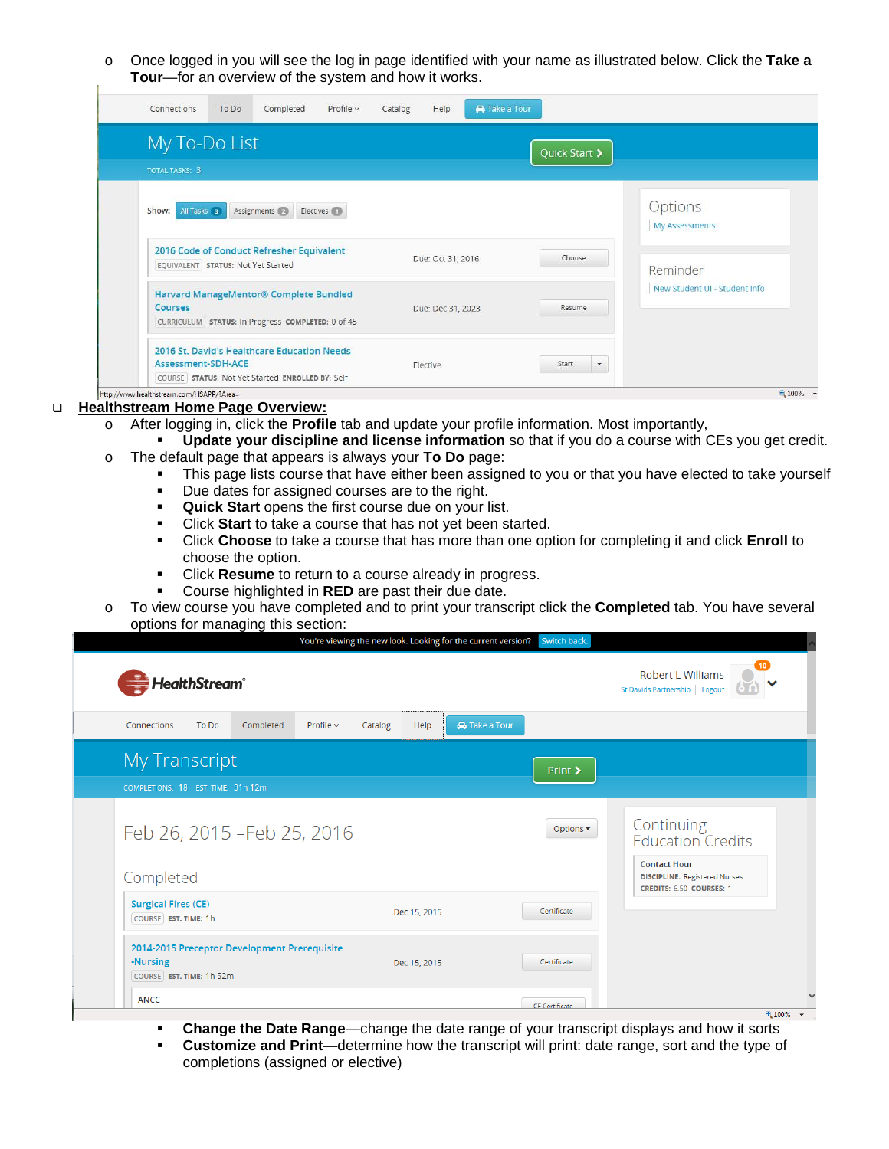o Once logged in you will see the log in page identified with your name as illustrated below. Click the **Take a Tour**—for an overview of the system and how it works.

| My To-Do List<br><b>TOTAL TASKS: 3</b>                                                                 |                   | Quick Start > |                               |  |
|--------------------------------------------------------------------------------------------------------|-------------------|---------------|-------------------------------|--|
| All Tasks 3<br>Assignments (2)<br>Electives (1)<br>Show:                                               |                   |               | Options<br>My Assessments     |  |
| 2016 Code of Conduct Refresher Equivalent<br>EQUIVALENT STATUS: Not Yet Started                        | Due: Oct 31, 2016 | Choose        | Reminder                      |  |
|                                                                                                        |                   |               | New Student UI - Student Info |  |
| Harvard ManageMentor® Complete Bundled<br>Courses<br>CURRICULUM STATUS: In Progress COMPLETED: 0 of 45 | Due: Dec 31, 2023 | Resume        |                               |  |

## **Healthstream Home Page Overview:**

- o After logging in, click the **Profile** tab and update your profile information. Most importantly,
- **Update your discipline and license information** so that if you do a course with CEs you get credit. o The default page that appears is always your **To Do** page:
	- This page lists course that have either been assigned to you or that you have elected to take yourself
		- Due dates for assigned courses are to the right.
		- **Quick Start** opens the first course due on your list.
		- Click **Start** to take a course that has not yet been started.
		- Click **Choose** to take a course that has more than one option for completing it and click **Enroll** to choose the option.
		- Click **Resume** to return to a course already in progress.
		- Course highlighted in **RED** are past their due date.
- o To view course you have completed and to print your transcript click the **Completed** tab. You have several options for managing this section:

| <b>HealthStream</b> ®                                                                | Fourt viewing the new look. Eduking for the current version. Switch buck |                              | Robert L Williams<br>St Davids Partnership   Logout                                                                                      |  |
|--------------------------------------------------------------------------------------|--------------------------------------------------------------------------|------------------------------|------------------------------------------------------------------------------------------------------------------------------------------|--|
| To Do<br>Completed<br>Connections                                                    | Profile $\sim$<br>Help<br>Catalog                                        | <b>A</b> Take a Tour         |                                                                                                                                          |  |
| <b>My Transcript</b><br>COMPLETIONS: 18 EST. TIME: 31h 12m                           |                                                                          | Print >                      |                                                                                                                                          |  |
| Feb 26, 2015 - Feb 25, 2016<br>Completed                                             |                                                                          | Options $\blacktriangledown$ | Continuing<br><b>Education Credits</b><br><b>Contact Hour</b><br><b>DISCIPLINE: Registered Nurses</b><br><b>CREDITS: 6.50 COURSES: 1</b> |  |
| <b>Surgical Fires (CE)</b><br>COURSE EST. TIME: 1h                                   | Dec 15, 2015                                                             | Certificate                  |                                                                                                                                          |  |
| 2014-2015 Preceptor Development Prerequisite<br>-Nursing<br>COURSE EST. TIME: 1h 52m | Dec 15, 2015                                                             | Certificate                  |                                                                                                                                          |  |
| <b>ANCC</b>                                                                          |                                                                          | CF Certificate               | ● 100% ▼                                                                                                                                 |  |

- **Change the Date Range—change the date range of your transcript displays and how it sorts<br><b>Customize and Print—determine how the transcript will print; date range, sort and the type of**
- **Customize and Print—**determine how the transcript will print: date range, sort and the type of completions (assigned or elective)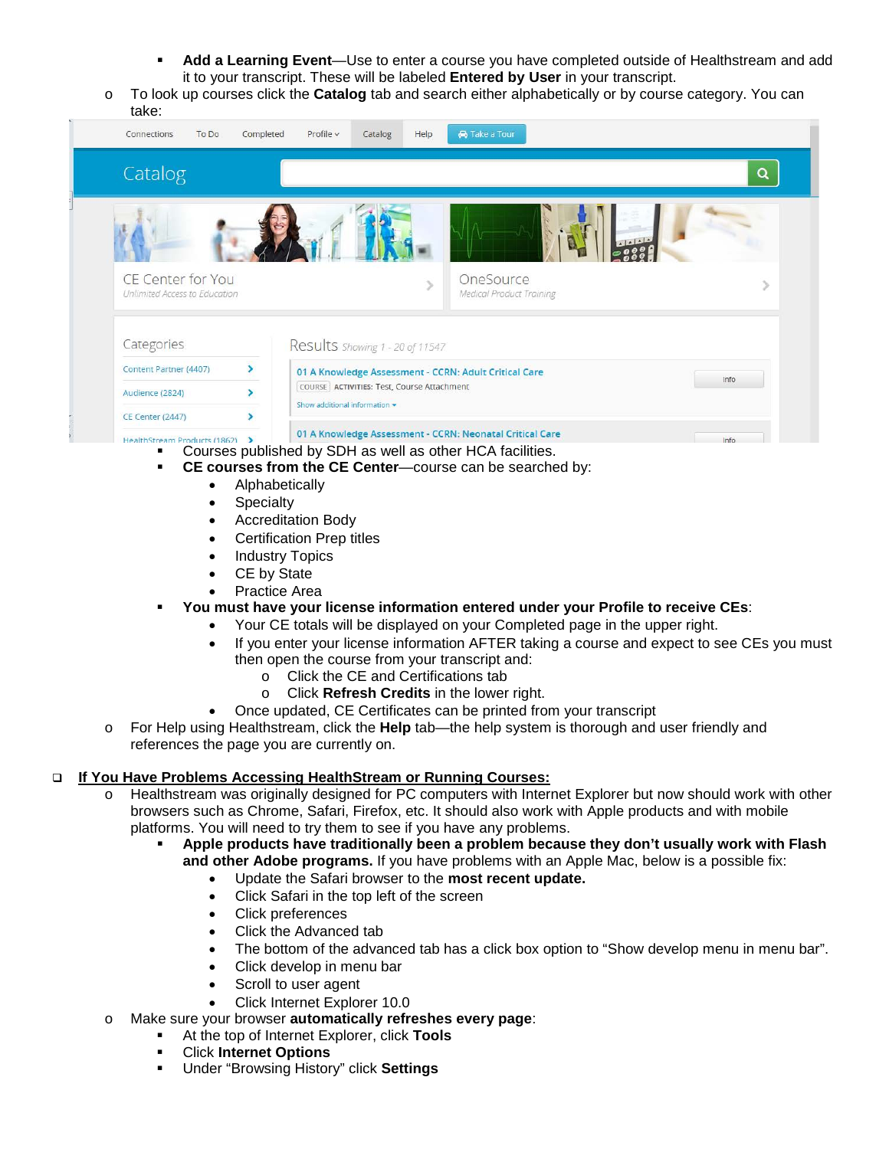- **Add a Learning Event**—Use to enter a course you have completed outside of Healthstream and add it to your transcript. These will be labeled **Entered by User** in your transcript.
- o To look up courses click the **Catalog** tab and search either alphabetically or by course category. You can take:



- **CE courses from the CE Center**—course can be searched by:
	- Alphabetically
	- **Specialty**
	- Accreditation Body
	- Certification Prep titles
	- **Industry Topics**
	- CE by State
	- Practice Area
- **You must have your license information entered under your Profile to receive CEs**:
	- Your CE totals will be displayed on your Completed page in the upper right.
	- If you enter your license information AFTER taking a course and expect to see CEs you must then open the course from your transcript and:
		- o Click the CE and Certifications tab
		- o Click **Refresh Credits** in the lower right.
	- Once updated, CE Certificates can be printed from your transcript
- o For Help using Healthstream, click the **Help** tab—the help system is thorough and user friendly and references the page you are currently on.

# **If You Have Problems Accessing HealthStream or Running Courses:**

- o Healthstream was originally designed for PC computers with Internet Explorer but now should work with other browsers such as Chrome, Safari, Firefox, etc. It should also work with Apple products and with mobile platforms. You will need to try them to see if you have any problems.
	- **Apple products have traditionally been a problem because they don't usually work with Flash and other Adobe programs.** If you have problems with an Apple Mac, below is a possible fix:
		- Update the Safari browser to the **most recent update.**
		- Click Safari in the top left of the screen
		- Click preferences
		- Click the Advanced tab
		- The bottom of the advanced tab has a click box option to "Show develop menu in menu bar".
		- Click develop in menu bar
		- Scroll to user agent
		- Click Internet Explorer 10.0
- o Make sure your browser **automatically refreshes every page**:
	- At the top of Internet Explorer, click **Tools**
	- Click **Internet Options**
	- Under "Browsing History" click **Settings**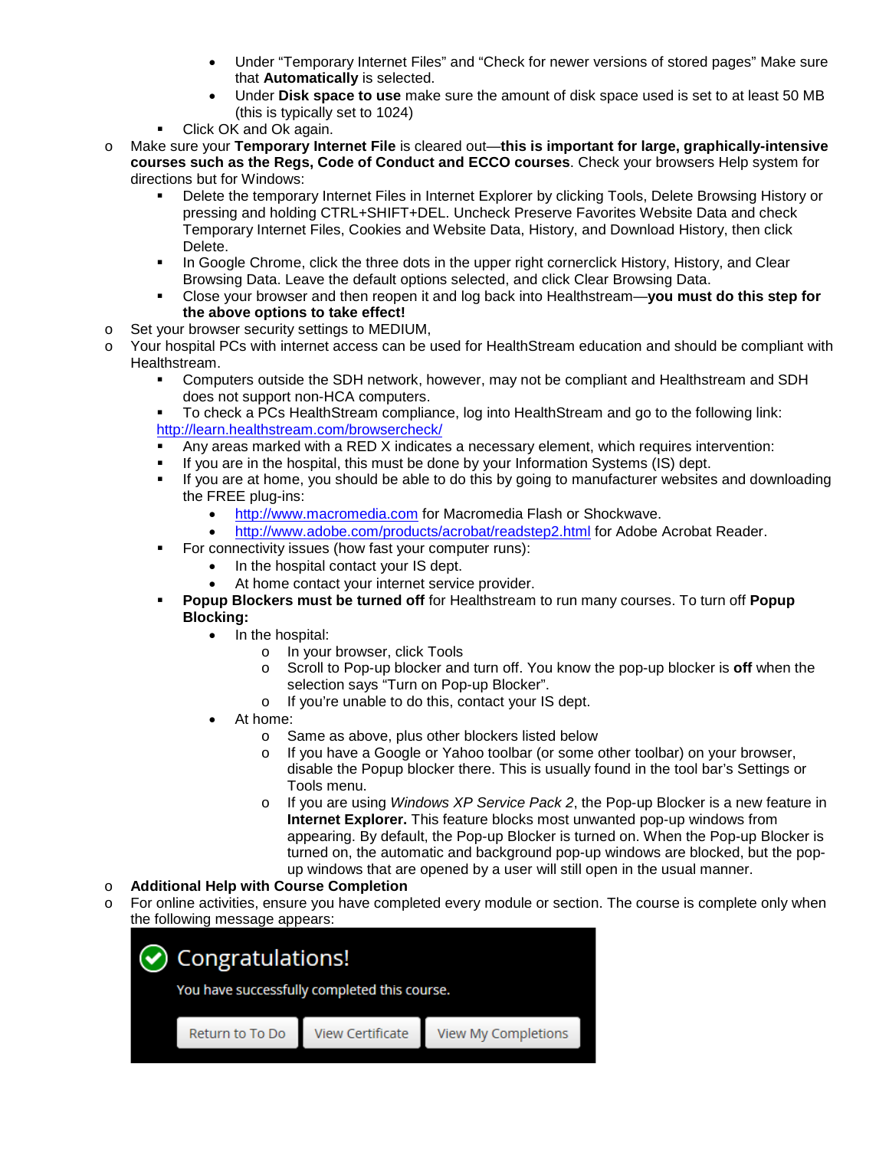- Under "Temporary Internet Files" and "Check for newer versions of stored pages" Make sure that **Automatically** is selected.
- Under **Disk space to use** make sure the amount of disk space used is set to at least 50 MB (this is typically set to 1024)
- Click OK and Ok again.
- o Make sure your **Temporary Internet File** is cleared out—**this is important for large, graphically-intensive courses such as the Regs, Code of Conduct and ECCO courses**. Check your browsers Help system for directions but for Windows:
	- Delete the temporary Internet Files in Internet Explorer by clicking Tools, Delete Browsing History or pressing and holding CTRL+SHIFT+DEL. Uncheck Preserve Favorites Website Data and check Temporary Internet Files, Cookies and Website Data, History, and Download History, then click Delete.
	- **In Google Chrome, click the three dots in the upper right cornerclick History, History, and Clear** Browsing Data. Leave the default options selected, and click Clear Browsing Data.
	- Close your browser and then reopen it and log back into Healthstream—**you must do this step for the above options to take effect!**
- o Set your browser security settings to MEDIUM,
- o Your hospital PCs with internet access can be used for HealthStream education and should be compliant with Healthstream.
	- Computers outside the SDH network, however, may not be compliant and Healthstream and SDH does not support non-HCA computers.
	- To check a PCs HealthStream compliance, log into HealthStream and go to the following link: <http://learn.healthstream.com/browsercheck/>
	- Any areas marked with a RED X indicates a necessary element, which requires intervention:
	- If you are in the hospital, this must be done by your Information Systems (IS) dept.
	- If you are at home, you should be able to do this by going to manufacturer websites and downloading the FREE plug-ins:
		- [http://www.macromedia.com](http://www.macromedia.com/) for Macromedia Flash or Shockwave.
		- <http://www.adobe.com/products/acrobat/readstep2.html> for Adobe Acrobat Reader.
	- For connectivity issues (how fast your computer runs):
		- In the hospital contact your IS dept.
			- At home contact your internet service provider.
	- **Popup Blockers must be turned off** for Healthstream to run many courses. To turn off **Popup Blocking:**
		- In the hospital:
			- o In your browser, click Tools
			- o Scroll to Pop-up blocker and turn off. You know the pop-up blocker is **off** when the selection says "Turn on Pop-up Blocker".
			- o If you're unable to do this, contact your IS dept.
		- At home:
			- o Same as above, plus other blockers listed below
			- o If you have a Google or Yahoo toolbar (or some other toolbar) on your browser, disable the Popup blocker there. This is usually found in the tool bar's Settings or Tools menu.
			- o If you are using *Windows XP Service Pack 2*, the Pop-up Blocker is a new feature in **Internet Explorer.** This feature blocks most unwanted pop-up windows from appearing. By default, the Pop-up Blocker is turned on. When the Pop-up Blocker is turned on, the automatic and background pop-up windows are blocked, but the popup windows that are opened by a user will still open in the usual manner.

## o **Additional Help with Course Completion**

o For online activities, ensure you have completed every module or section. The course is complete only when the following message appears: